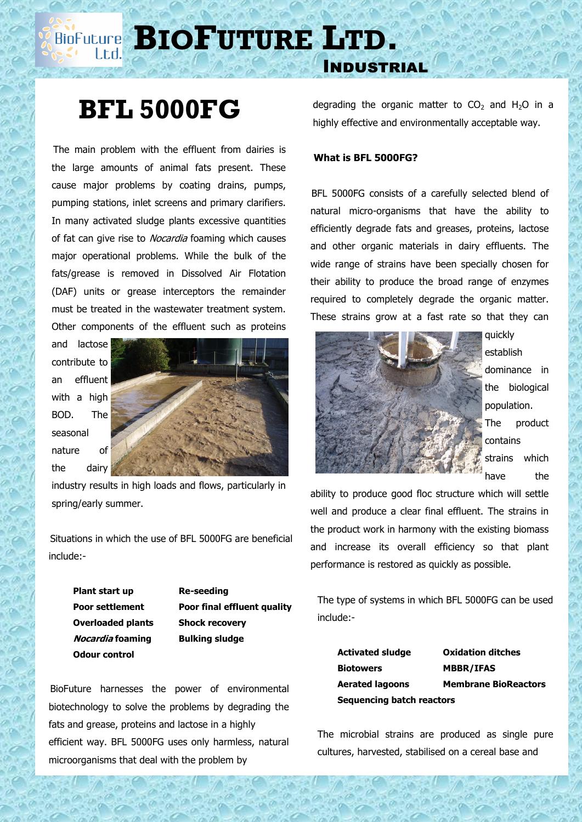# **BIOPUTURE** LTD.

### Industrial

## **BFL 5000FG**

 The main problem with the effluent from dairies is the large amounts of animal fats present. These cause major problems by coating drains, pumps, pumping stations, inlet screens and primary clarifiers. In many activated sludge plants excessive quantities of fat can give rise to *Nocardia* foaming which causes major operational problems. While the bulk of the fats/grease is removed in Dissolved Air Flotation (DAF) units or grease interceptors the remainder must be treated in the wastewater treatment system. Other components of the effluent such as proteins

and lactose contribute to an effluent with a high BOD. The seasonal nature of the dairy



industry results in high loads and flows, particularly in spring/early summer.

 Situations in which the use of BFL 5000FG are beneficial include:-

**Plant start up Re-seeding Overloaded plants Shock recovery Nocardia foaming Bulking sludge Odour control**

**Poor settlement Poor final effluent quality**

 BioFuture harnesses the power of environmental biotechnology to solve the problems by degrading the fats and grease, proteins and lactose in a highly efficient way. BFL 5000FG uses only harmless, natural microorganisms that deal with the problem by

degrading the organic matter to  $CO<sub>2</sub>$  and H<sub>2</sub>O in a highly effective and environmentally acceptable way.

#### **What is BFL 5000FG?**

 BFL 5000FG consists of a carefully selected blend of natural micro-organisms that have the ability to efficiently degrade fats and greases, proteins, lactose and other organic materials in dairy effluents. The wide range of strains have been specially chosen for their ability to produce the broad range of enzymes required to completely degrade the organic matter. These strains grow at a fast rate so that they can



quickly establish dominance in the biological population. The product contains strains which have the

ability to produce good floc structure which will settle well and produce a clear final effluent. The strains in the product work in harmony with the existing biomass and increase its overall efficiency so that plant performance is restored as quickly as possible.

 The type of systems in which BFL 5000FG can be used include:-

| Activated sludge          | <b>Oxidation ditches</b>    |
|---------------------------|-----------------------------|
| <b>Biotowers</b>          | <b>MBBR/IFAS</b>            |
| <b>Aerated lagoons</b>    | <b>Membrane BioReactors</b> |
| Sequencing batch reactors |                             |

 The microbial strains are produced as single pure cultures, harvested, stabilised on a cereal base and